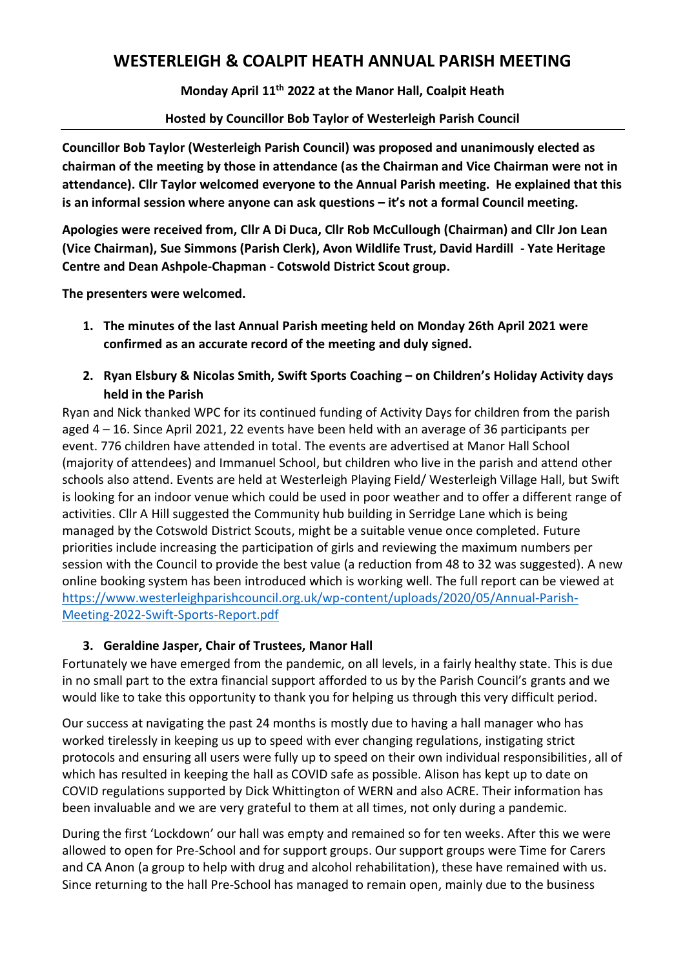# **WESTERLEIGH & COALPIT HEATH ANNUAL PARISH MEETING**

**Monday April 11th 2022 at the Manor Hall, Coalpit Heath**

#### **Hosted by Councillor Bob Taylor of Westerleigh Parish Council**

**Councillor Bob Taylor (Westerleigh Parish Council) was proposed and unanimously elected as chairman of the meeting by those in attendance (as the Chairman and Vice Chairman were not in attendance). Cllr Taylor welcomed everyone to the Annual Parish meeting. He explained that this is an informal session where anyone can ask questions – it's not a formal Council meeting.**

**Apologies were received from, Cllr A Di Duca, Cllr Rob McCullough (Chairman) and Cllr Jon Lean (Vice Chairman), Sue Simmons (Parish Clerk), Avon Wildlife Trust, David Hardill - Yate Heritage Centre and Dean Ashpole-Chapman - Cotswold District Scout group.**

**The presenters were welcomed.**

- **1. The minutes of the last Annual Parish meeting held on Monday 26th April 2021 were confirmed as an accurate record of the meeting and duly signed.**
- **2. Ryan Elsbury & Nicolas Smith, Swift Sports Coaching – on Children's Holiday Activity days held in the Parish**

Ryan and Nick thanked WPC for its continued funding of Activity Days for children from the parish aged 4 – 16. Since April 2021, 22 events have been held with an average of 36 participants per event. 776 children have attended in total. The events are advertised at Manor Hall School (majority of attendees) and Immanuel School, but children who live in the parish and attend other schools also attend. Events are held at Westerleigh Playing Field/ Westerleigh Village Hall, but Swift is looking for an indoor venue which could be used in poor weather and to offer a different range of activities. Cllr A Hill suggested the Community hub building in Serridge Lane which is being managed by the Cotswold District Scouts, might be a suitable venue once completed. Future priorities include increasing the participation of girls and reviewing the maximum numbers per session with the Council to provide the best value (a reduction from 48 to 32 was suggested). A new online booking system has been introduced which is working well. The full report can be viewed at [https://www.westerleighparishcouncil.org.uk/wp-content/uploads/2020/05/Annual-Parish-](https://www.westerleighparishcouncil.org.uk/wp-content/uploads/2020/05/Annual-Parish-Meeting-2022-Swift-Sports-Report.pdf)[Meeting-2022-Swift-Sports-Report.pdf](https://www.westerleighparishcouncil.org.uk/wp-content/uploads/2020/05/Annual-Parish-Meeting-2022-Swift-Sports-Report.pdf)

# **3. Geraldine Jasper, Chair of Trustees, Manor Hall**

Fortunately we have emerged from the pandemic, on all levels, in a fairly healthy state. This is due in no small part to the extra financial support afforded to us by the Parish Council's grants and we would like to take this opportunity to thank you for helping us through this very difficult period.

Our success at navigating the past 24 months is mostly due to having a hall manager who has worked tirelessly in keeping us up to speed with ever changing regulations, instigating strict protocols and ensuring all users were fully up to speed on their own individual responsibilities, all of which has resulted in keeping the hall as COVID safe as possible. Alison has kept up to date on COVID regulations supported by Dick Whittington of WERN and also ACRE. Their information has been invaluable and we are very grateful to them at all times, not only during a pandemic.

During the first 'Lockdown' our hall was empty and remained so for ten weeks. After this we were allowed to open for Pre-School and for support groups. Our support groups were Time for Carers and CA Anon (a group to help with drug and alcohol rehabilitation), these have remained with us. Since returning to the hall Pre-School has managed to remain open, mainly due to the business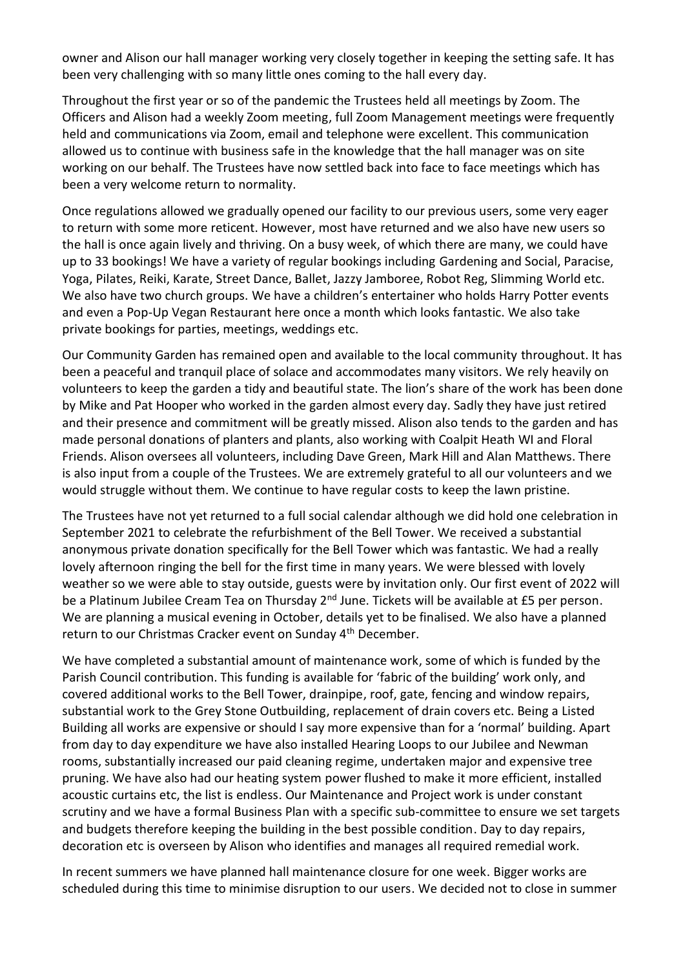owner and Alison our hall manager working very closely together in keeping the setting safe. It has been very challenging with so many little ones coming to the hall every day.

Throughout the first year or so of the pandemic the Trustees held all meetings by Zoom. The Officers and Alison had a weekly Zoom meeting, full Zoom Management meetings were frequently held and communications via Zoom, email and telephone were excellent. This communication allowed us to continue with business safe in the knowledge that the hall manager was on site working on our behalf. The Trustees have now settled back into face to face meetings which has been a very welcome return to normality.

Once regulations allowed we gradually opened our facility to our previous users, some very eager to return with some more reticent. However, most have returned and we also have new users so the hall is once again lively and thriving. On a busy week, of which there are many, we could have up to 33 bookings! We have a variety of regular bookings including Gardening and Social, Paracise, Yoga, Pilates, Reiki, Karate, Street Dance, Ballet, Jazzy Jamboree, Robot Reg, Slimming World etc. We also have two church groups. We have a children's entertainer who holds Harry Potter events and even a Pop-Up Vegan Restaurant here once a month which looks fantastic. We also take private bookings for parties, meetings, weddings etc.

Our Community Garden has remained open and available to the local community throughout. It has been a peaceful and tranquil place of solace and accommodates many visitors. We rely heavily on volunteers to keep the garden a tidy and beautiful state. The lion's share of the work has been done by Mike and Pat Hooper who worked in the garden almost every day. Sadly they have just retired and their presence and commitment will be greatly missed. Alison also tends to the garden and has made personal donations of planters and plants, also working with Coalpit Heath WI and Floral Friends. Alison oversees all volunteers, including Dave Green, Mark Hill and Alan Matthews. There is also input from a couple of the Trustees. We are extremely grateful to all our volunteers and we would struggle without them. We continue to have regular costs to keep the lawn pristine.

The Trustees have not yet returned to a full social calendar although we did hold one celebration in September 2021 to celebrate the refurbishment of the Bell Tower. We received a substantial anonymous private donation specifically for the Bell Tower which was fantastic. We had a really lovely afternoon ringing the bell for the first time in many years. We were blessed with lovely weather so we were able to stay outside, guests were by invitation only. Our first event of 2022 will be a Platinum Jubilee Cream Tea on Thursday 2<sup>nd</sup> June. Tickets will be available at £5 per person. We are planning a musical evening in October, details yet to be finalised. We also have a planned return to our Christmas Cracker event on Sunday 4<sup>th</sup> December.

We have completed a substantial amount of maintenance work, some of which is funded by the Parish Council contribution. This funding is available for 'fabric of the building' work only, and covered additional works to the Bell Tower, drainpipe, roof, gate, fencing and window repairs, substantial work to the Grey Stone Outbuilding, replacement of drain covers etc. Being a Listed Building all works are expensive or should I say more expensive than for a 'normal' building. Apart from day to day expenditure we have also installed Hearing Loops to our Jubilee and Newman rooms, substantially increased our paid cleaning regime, undertaken major and expensive tree pruning. We have also had our heating system power flushed to make it more efficient, installed acoustic curtains etc, the list is endless. Our Maintenance and Project work is under constant scrutiny and we have a formal Business Plan with a specific sub-committee to ensure we set targets and budgets therefore keeping the building in the best possible condition. Day to day repairs, decoration etc is overseen by Alison who identifies and manages all required remedial work.

In recent summers we have planned hall maintenance closure for one week. Bigger works are scheduled during this time to minimise disruption to our users. We decided not to close in summer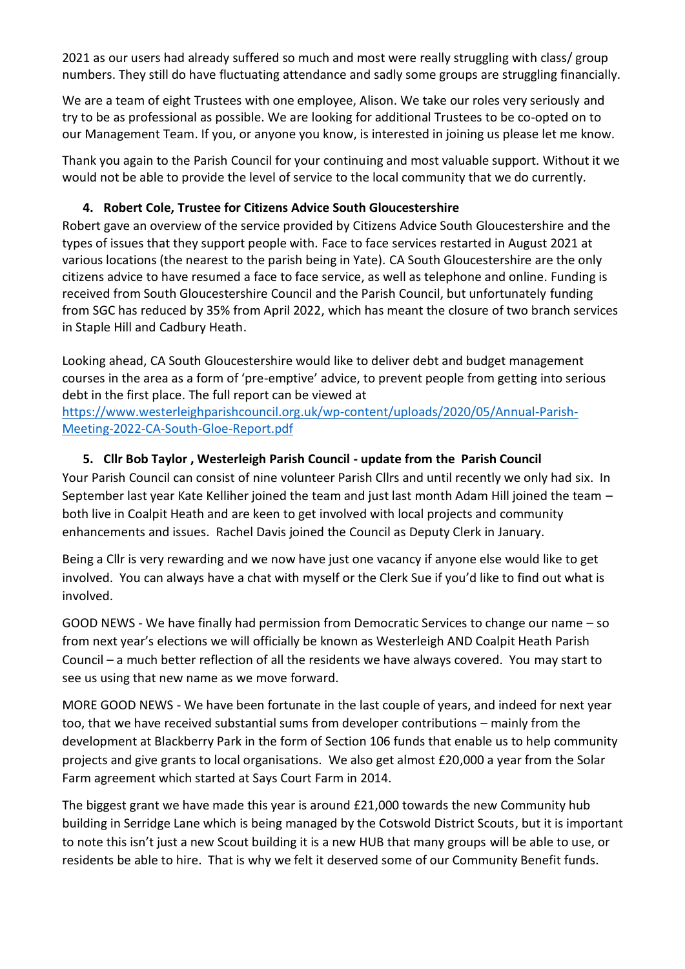2021 as our users had already suffered so much and most were really struggling with class/ group numbers. They still do have fluctuating attendance and sadly some groups are struggling financially.

We are a team of eight Trustees with one employee, Alison. We take our roles very seriously and try to be as professional as possible. We are looking for additional Trustees to be co-opted on to our Management Team. If you, or anyone you know, is interested in joining us please let me know.

Thank you again to the Parish Council for your continuing and most valuable support. Without it we would not be able to provide the level of service to the local community that we do currently.

## **4. Robert Cole, Trustee for Citizens Advice South Gloucestershire**

Robert gave an overview of the service provided by Citizens Advice South Gloucestershire and the types of issues that they support people with. Face to face services restarted in August 2021 at various locations (the nearest to the parish being in Yate). CA South Gloucestershire are the only citizens advice to have resumed a face to face service, as well as telephone and online. Funding is received from South Gloucestershire Council and the Parish Council, but unfortunately funding from SGC has reduced by 35% from April 2022, which has meant the closure of two branch services in Staple Hill and Cadbury Heath.

Looking ahead, CA South Gloucestershire would like to deliver debt and budget management courses in the area as a form of 'pre-emptive' advice, to prevent people from getting into serious debt in the first place. The full report can be viewed at

[https://www.westerleighparishcouncil.org.uk/wp-content/uploads/2020/05/Annual-Parish-](https://www.westerleighparishcouncil.org.uk/wp-content/uploads/2020/05/Annual-Parish-Meeting-2022-CA-South-Gloe-Report.pdf)[Meeting-2022-CA-South-Gloe-Report.pdf](https://www.westerleighparishcouncil.org.uk/wp-content/uploads/2020/05/Annual-Parish-Meeting-2022-CA-South-Gloe-Report.pdf)

# **5. Cllr Bob Taylor , Westerleigh Parish Council - update from the Parish Council**

Your Parish Council can consist of nine volunteer Parish Cllrs and until recently we only had six. In September last year Kate Kelliher joined the team and just last month Adam Hill joined the team – both live in Coalpit Heath and are keen to get involved with local projects and community enhancements and issues. Rachel Davis joined the Council as Deputy Clerk in January.

Being a Cllr is very rewarding and we now have just one vacancy if anyone else would like to get involved. You can always have a chat with myself or the Clerk Sue if you'd like to find out what is involved.

GOOD NEWS - We have finally had permission from Democratic Services to change our name – so from next year's elections we will officially be known as Westerleigh AND Coalpit Heath Parish Council – a much better reflection of all the residents we have always covered. You may start to see us using that new name as we move forward.

MORE GOOD NEWS - We have been fortunate in the last couple of years, and indeed for next year too, that we have received substantial sums from developer contributions – mainly from the development at Blackberry Park in the form of Section 106 funds that enable us to help community projects and give grants to local organisations. We also get almost £20,000 a year from the Solar Farm agreement which started at Says Court Farm in 2014.

The biggest grant we have made this year is around £21,000 towards the new Community hub building in Serridge Lane which is being managed by the Cotswold District Scouts, but it is important to note this isn't just a new Scout building it is a new HUB that many groups will be able to use, or residents be able to hire. That is why we felt it deserved some of our Community Benefit funds.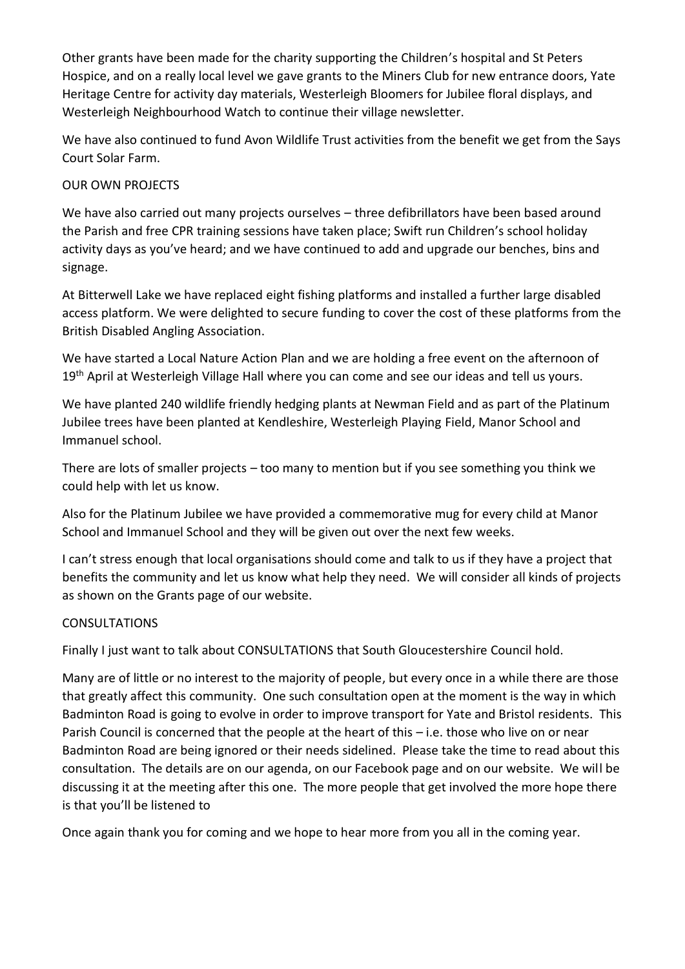Other grants have been made for the charity supporting the Children's hospital and St Peters Hospice, and on a really local level we gave grants to the Miners Club for new entrance doors, Yate Heritage Centre for activity day materials, Westerleigh Bloomers for Jubilee floral displays, and Westerleigh Neighbourhood Watch to continue their village newsletter.

We have also continued to fund Avon Wildlife Trust activities from the benefit we get from the Says Court Solar Farm.

## OUR OWN PROJECTS

We have also carried out many projects ourselves – three defibrillators have been based around the Parish and free CPR training sessions have taken place; Swift run Children's school holiday activity days as you've heard; and we have continued to add and upgrade our benches, bins and signage.

At Bitterwell Lake we have replaced eight fishing platforms and installed a further large disabled access platform. We were delighted to secure funding to cover the cost of these platforms from the British Disabled Angling Association.

We have started a Local Nature Action Plan and we are holding a free event on the afternoon of 19<sup>th</sup> April at Westerleigh Village Hall where you can come and see our ideas and tell us yours.

We have planted 240 wildlife friendly hedging plants at Newman Field and as part of the Platinum Jubilee trees have been planted at Kendleshire, Westerleigh Playing Field, Manor School and Immanuel school.

There are lots of smaller projects – too many to mention but if you see something you think we could help with let us know.

Also for the Platinum Jubilee we have provided a commemorative mug for every child at Manor School and Immanuel School and they will be given out over the next few weeks.

I can't stress enough that local organisations should come and talk to us if they have a project that benefits the community and let us know what help they need. We will consider all kinds of projects as shown on the Grants page of our website.

#### CONSULTATIONS

Finally I just want to talk about CONSULTATIONS that South Gloucestershire Council hold.

Many are of little or no interest to the majority of people, but every once in a while there are those that greatly affect this community. One such consultation open at the moment is the way in which Badminton Road is going to evolve in order to improve transport for Yate and Bristol residents. This Parish Council is concerned that the people at the heart of this – i.e. those who live on or near Badminton Road are being ignored or their needs sidelined. Please take the time to read about this consultation. The details are on our agenda, on our Facebook page and on our website. We will be discussing it at the meeting after this one. The more people that get involved the more hope there is that you'll be listened to

Once again thank you for coming and we hope to hear more from you all in the coming year.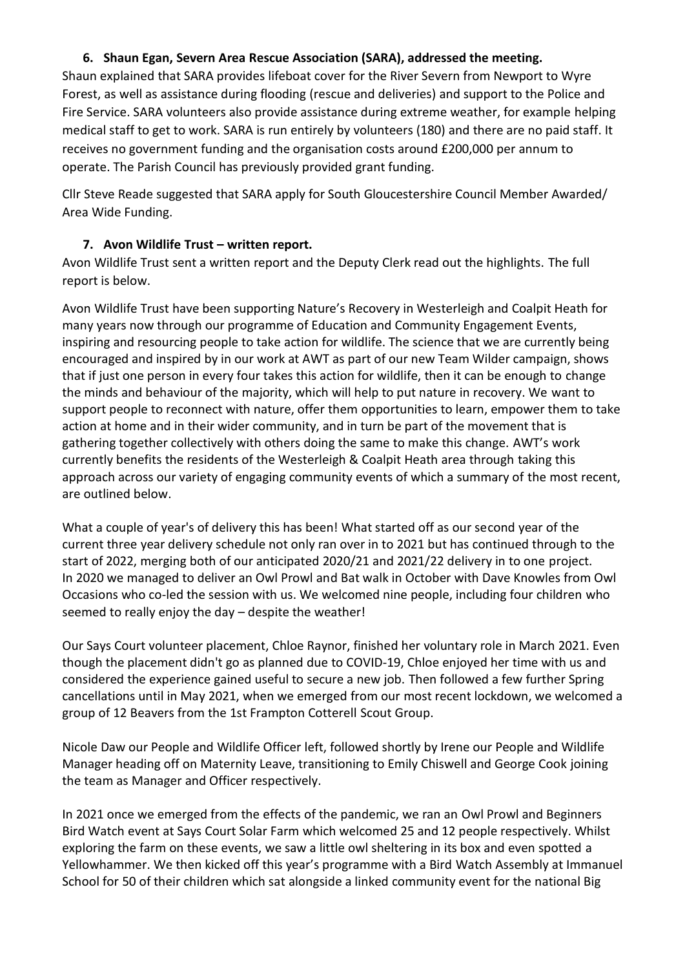## **6. Shaun Egan, Severn Area Rescue Association (SARA), addressed the meeting.**

Shaun explained that SARA provides lifeboat cover for the River Severn from Newport to Wyre Forest, as well as assistance during flooding (rescue and deliveries) and support to the Police and Fire Service. SARA volunteers also provide assistance during extreme weather, for example helping medical staff to get to work. SARA is run entirely by volunteers (180) and there are no paid staff. It receives no government funding and the organisation costs around £200,000 per annum to operate. The Parish Council has previously provided grant funding.

Cllr Steve Reade suggested that SARA apply for South Gloucestershire Council Member Awarded/ Area Wide Funding.

#### **7. Avon Wildlife Trust – written report.**

Avon Wildlife Trust sent a written report and the Deputy Clerk read out the highlights. The full report is below.

Avon Wildlife Trust have been supporting Nature's Recovery in Westerleigh and Coalpit Heath for many years now through our programme of Education and Community Engagement Events, inspiring and resourcing people to take action for wildlife. The science that we are currently being encouraged and inspired by in our work at AWT as part of our new Team Wilder campaign, shows that if just one person in every four takes this action for wildlife, then it can be enough to change the minds and behaviour of the majority, which will help to put nature in recovery. We want to support people to reconnect with nature, offer them opportunities to learn, empower them to take action at home and in their wider community, and in turn be part of the movement that is gathering together collectively with others doing the same to make this change. AWT's work currently benefits the residents of the Westerleigh & Coalpit Heath area through taking this approach across our variety of engaging community events of which a summary of the most recent, are outlined below.

What a couple of year's of delivery this has been! What started off as our second year of the current three year delivery schedule not only ran over in to 2021 but has continued through to the start of 2022, merging both of our anticipated 2020/21 and 2021/22 delivery in to one project. In 2020 we managed to deliver an Owl Prowl and Bat walk in October with Dave Knowles from Owl Occasions who co-led the session with us. We welcomed nine people, including four children who seemed to really enjoy the day – despite the weather!

Our Says Court volunteer placement, Chloe Raynor, finished her voluntary role in March 2021. Even though the placement didn't go as planned due to COVID-19, Chloe enjoyed her time with us and considered the experience gained useful to secure a new job. Then followed a few further Spring cancellations until in May 2021, when we emerged from our most recent lockdown, we welcomed a group of 12 Beavers from the 1st Frampton Cotterell Scout Group.

Nicole Daw our People and Wildlife Officer left, followed shortly by Irene our People and Wildlife Manager heading off on Maternity Leave, transitioning to Emily Chiswell and George Cook joining the team as Manager and Officer respectively.

In 2021 once we emerged from the effects of the pandemic, we ran an Owl Prowl and Beginners Bird Watch event at Says Court Solar Farm which welcomed 25 and 12 people respectively. Whilst exploring the farm on these events, we saw a little owl sheltering in its box and even spotted a Yellowhammer. We then kicked off this year's programme with a Bird Watch Assembly at Immanuel School for 50 of their children which sat alongside a linked community event for the national Big